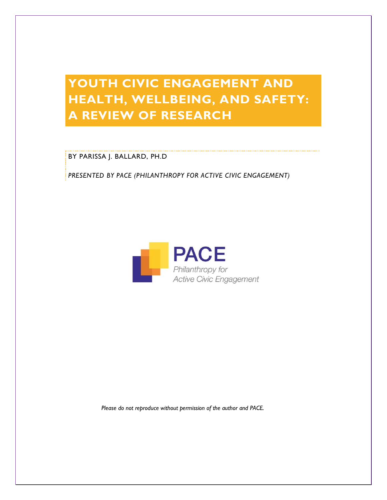# **YOUTH CIVIC ENGAGEMENT AND HEALTH, WELLBEING, AND SAFETY: A REVIEW OF RESEARCH**

BY PARISSA J. BALLARD, PH.D

*PRESENTED BY PACE (PHILANTHROPY FOR ACTIVE CIVIC ENGAGEMENT)*



 *Please do not reproduce without permission of the author and PACE.*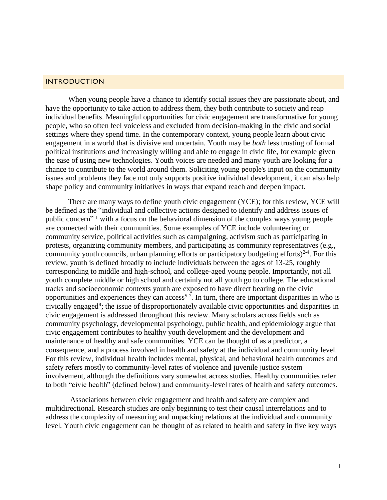#### INTRODUCTION

When young people have a chance to identify social issues they are passionate about, and have the opportunity to take action to address them, they both contribute to society and reap individual benefits. Meaningful opportunities for civic engagement are transformative for young people, who so often feel voiceless and excluded from decision-making in the civic and social settings where they spend time. In the contemporary context, young people learn about civic engagement in a world that is divisive and uncertain. Youth may be *both* less trusting of formal political institutions *and* increasingly willing and able to engage in civic life, for example given the ease of using new technologies. Youth voices are needed and many youth are looking for a chance to contribute to the world around them. Soliciting young people's input on the community issues and problems they face not only supports positive individual development, it can also help shape policy and community initiatives in ways that expand reach and deepen impact.

There are many ways to define youth civic engagement (YCE); for this review, YCE will be defined as the "individual and collective actions designed to identify and address issues of public concern" <sup>1</sup> with a focus on the behavioral dimension of the complex ways young people are connected with their communities. Some examples of YCE include volunteering or community service, political activities such as campaigning, activism such as participating in protests, organizing community members, and participating as community representatives (e.g., community youth councils, urban planning efforts or participatory budgeting efforts) $2-4$ . For this review, youth is defined broadly to include individuals between the ages of 13-25, roughly corresponding to middle and high-school, and college-aged young people. Importantly, not all youth complete middle or high school and certainly not all youth go to college. The educational tracks and socioeconomic contexts youth are exposed to have direct bearing on the civic opportunities and experiences they can access<sup>5-7</sup>. In turn, there are important disparities in who is civically engaged<sup>8</sup>; the issue of disproportionately available civic opportunities and disparities in civic engagement is addressed throughout this review. Many scholars across fields such as community psychology, developmental psychology, public health, and epidemiology argue that civic engagement contributes to healthy youth development and the development and maintenance of healthy and safe communities. YCE can be thought of as a predictor, a consequence, and a process involved in health and safety at the individual and community level. For this review, individual health includes mental, physical, and behavioral health outcomes and safety refers mostly to community-level rates of violence and juvenile justice system involvement, although the definitions vary somewhat across studies. Healthy communities refer to both "civic health" (defined below) and community-level rates of health and safety outcomes.

Associations between civic engagement and health and safety are complex and multidirectional. Research studies are only beginning to test their causal interrelations and to address the complexity of measuring and unpacking relations at the individual and community level. Youth civic engagement can be thought of as related to health and safety in five key ways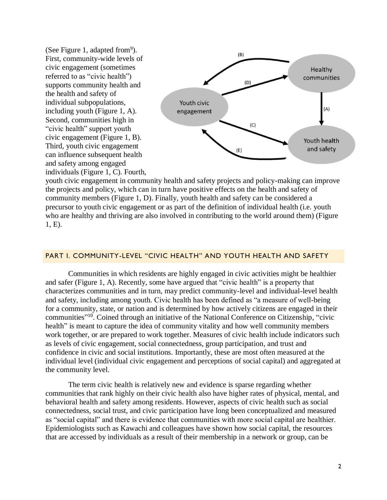(See Figure 1, adapted from<sup>9</sup>). First, community-wide levels of civic engagement (sometimes referred to as "civic health") supports community health and the health and safety of individual subpopulations, including youth (Figure 1, A). Second, communities high in "civic health" support youth civic engagement (Figure 1, B). Third, youth civic engagement can influence subsequent health and safety among engaged individuals (Figure 1, C). Fourth,



youth civic engagement in community health and safety projects and policy-making can improve the projects and policy, which can in turn have positive effects on the health and safety of community members (Figure 1, D). Finally, youth health and safety can be considered a precursor to youth civic engagement or as part of the definition of individual health (i.e. youth who are healthy and thriving are also involved in contributing to the world around them) (Figure 1, E).

#### PART I. COMMUNITY-LEVEL "CIVIC HEALTH" AND YOUTH HEALTH AND SAFETY

Communities in which residents are highly engaged in civic activities might be healthier and safer (Figure 1, A). Recently, some have argued that "civic health" is a property that characterizes communities and in turn, may predict community-level and individual-level health and safety, including among youth. Civic health has been defined as "a measure of well-being for a community, state, or nation and is determined by how actively citizens are engaged in their communities"<sup>10</sup>. Coined through an initiative of the National Conference on Citizenship, "civic health" is meant to capture the idea of community vitality and how well community members work together, or are prepared to work together. Measures of civic health include indicators such as levels of civic engagement, social connectedness, group participation, and trust and confidence in civic and social institutions. Importantly, these are most often measured at the individual level (individual civic engagement and perceptions of social capital) and aggregated at the community level.

The term civic health is relatively new and evidence is sparse regarding whether communities that rank highly on their civic health also have higher rates of physical, mental, and behavioral health and safety among residents. However, aspects of civic health such as social connectedness, social trust, and civic participation have long been conceptualized and measured as "social capital" and there is evidence that communities with more social capital are healthier. Epidemiologists such as Kawachi and colleagues have shown how social capital, the resources that are accessed by individuals as a result of their membership in a network or group, can be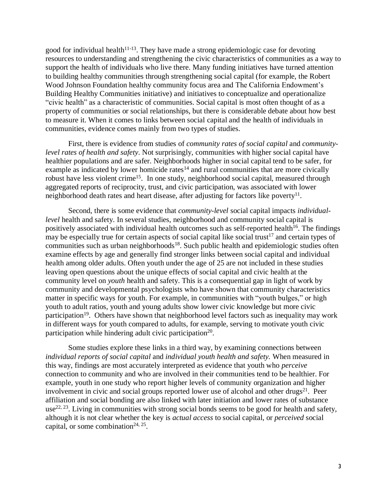good for individual health $11-13$ . They have made a strong epidemiologic case for devoting resources to understanding and strengthening the civic characteristics of communities as a way to support the health of individuals who live there. Many funding initiatives have turned attention to building healthy communities through strengthening social capital (for example, the Robert Wood Johnson Foundation healthy community focus area and The California Endowment's Building Healthy Communities initiative) and initiatives to conceptualize and operationalize "civic health" as a characteristic of communities. Social capital is most often thought of as a property of communities or social relationships, but there is considerable debate about how best to measure it. When it comes to links between social capital and the health of individuals in communities, evidence comes mainly from two types of studies.

First, there is evidence from studies of *community rates of social capital* and *communitylevel rates of health and safety*. Not surprisingly, communities with higher social capital have healthier populations and are safer. Neighborhoods higher in social capital tend to be safer, for example as indicated by lower homicide rates $14$  and rural communities that are more civically robust have less violent crime<sup>15</sup>. In one study, neighborhood social capital, measured through aggregated reports of reciprocity, trust, and civic participation, was associated with lower neighborhood death rates and heart disease, after adjusting for factors like poverty $^{11}$ .

Second, there is some evidence that *community-level* social capital impacts *individuallevel* health and safety. In several studies, neighborhood and community social capital is positively associated with individual health outcomes such as self-reported health<sup>16</sup>. The findings may be especially true for certain aspects of social capital like social trust<sup>17</sup> and certain types of communities such as urban neighborhoods<sup>18</sup>. Such public health and epidemiologic studies often examine effects by age and generally find stronger links between social capital and individual health among older adults. Often youth under the age of 25 are not included in these studies leaving open questions about the unique effects of social capital and civic health at the community level on *youth* health and safety. This is a consequential gap in light of work by community and developmental psychologists who have shown that community characteristics matter in specific ways for youth. For example, in communities with "youth bulges," or high youth to adult ratios, youth and young adults show lower civic knowledge but more civic participation<sup>19</sup>. Others have shown that neighborhood level factors such as inequality may work in different ways for youth compared to adults, for example, serving to motivate youth civic participation while hindering adult civic participation<sup>20</sup>.

Some studies explore these links in a third way, by examining connections between *individual reports of social capital* and *individual youth health and safety.* When measured in this way, findings are most accurately interpreted as evidence that youth who *perceive*  connection to community and who are involved in their communities tend to be healthier. For example, youth in one study who report higher levels of community organization and higher involvement in civic and social groups reported lower use of alcohol and other drugs $21$ . Peer affiliation and social bonding are also linked with later initiation and lower rates of substance use<sup>22, 23</sup>. Living in communities with strong social bonds seems to be good for health and safety, although it is not clear whether the key is *actual access* to social capital, or *perceived* social capital, or some combination<sup>24, 25</sup>.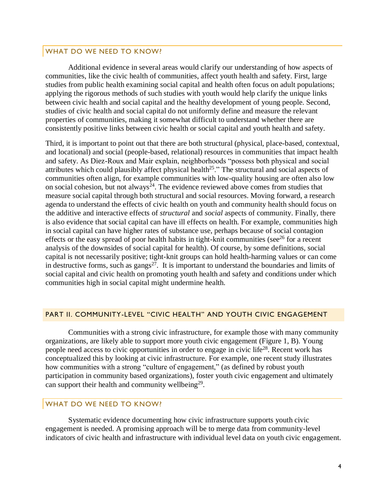#### WHAT DO WE NEED TO KNOW?

Additional evidence in several areas would clarify our understanding of how aspects of communities, like the civic health of communities, affect youth health and safety. First, large studies from public health examining social capital and health often focus on adult populations; applying the rigorous methods of such studies with youth would help clarify the unique links between civic health and social capital and the healthy development of young people. Second, studies of civic health and social capital do not uniformly define and measure the relevant properties of communities, making it somewhat difficult to understand whether there are consistently positive links between civic health or social capital and youth health and safety.

Third, it is important to point out that there are both structural (physical, place-based, contextual, and locational) and social (people-based, relational) resources in communities that impact health and safety. As Diez-Roux and Mair explain, neighborhoods "possess both physical and social attributes which could plausibly affect physical health<sup>25</sup>." The structural and social aspects of communities often align, for example communities with low-quality housing are often also low on social cohesion, but not always<sup>24</sup>. The evidence reviewed above comes from studies that measure social capital through both structural and social resources. Moving forward, a research agenda to understand the effects of civic health on youth and community health should focus on the additive and interactive effects of *structural* and *social* aspects of community. Finally, there is also evidence that social capital can have ill effects on health. For example, communities high in social capital can have higher rates of substance use, perhaps because of social contagion effects or the easy spread of poor health habits in tight-knit communities (see<sup>26</sup> for a recent analysis of the downsides of social capital for health). Of course, by some definitions, social capital is not necessarily positive; tight-knit groups can hold health-harming values or can come in destructive forms, such as gangs<sup>27</sup>. It is important to understand the boundaries and limits of social capital and civic health on promoting youth health and safety and conditions under which communities high in social capital might undermine health.

#### PART II. COMMUNITY-LEVEL "CIVIC HEALTH" AND YOUTH CIVIC ENGAGEMENT

Communities with a strong civic infrastructure, for example those with many community organizations, are likely able to support more youth civic engagement (Figure 1, B). Young people need access to civic opportunities in order to engage in civic life<sup>28</sup>. Recent work has conceptualized this by looking at civic infrastructure. For example, one recent study illustrates how communities with a strong "culture of engagement," (as defined by robust youth participation in community based organizations), foster youth civic engagement and ultimately can support their health and community wellbeing<sup>29</sup>.

# WHAT DO WE NEED TO KNOW?

Systematic evidence documenting how civic infrastructure supports youth civic engagement is needed. A promising approach will be to merge data from community-level indicators of civic health and infrastructure with individual level data on youth civic engagement.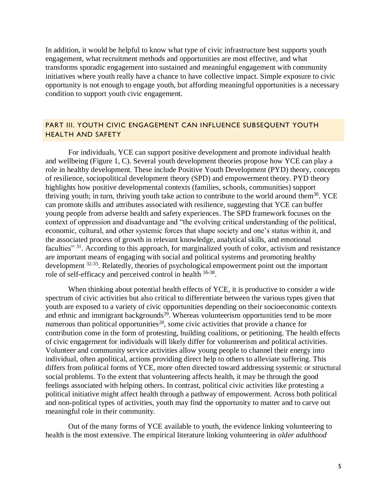In addition, it would be helpful to know what type of civic infrastructure best supports youth engagement, what recruitment methods and opportunities are most effective, and what transforms sporadic engagement into sustained and meaningful engagement with community initiatives where youth really have a chance to have collective impact. Simple exposure to civic opportunity is not enough to engage youth, but affording meaningful opportunities is a necessary condition to support youth civic engagement.

# PART III. YOUTH CIVIC ENGAGEMENT CAN INFLUENCE SUBSEQUENT YOUTH HEALTH AND SAFETY

For individuals, YCE can support positive development and promote individual health and wellbeing (Figure 1, C). Several youth development theories propose how YCE can play a role in healthy development. These include Positive Youth Development (PYD) theory, concepts of resilience, sociopolitical development theory (SPD) and empowerment theory. PYD theory highlights how positive developmental contexts (families, schools, communities) support thriving youth; in turn, thriving youth take action to contribute to the world around them<sup>30</sup>. YCE can promote skills and attributes associated with resilience, suggesting that YCE can buffer young people from adverse health and safety experiences. The SPD framework focuses on the context of oppression and disadvantage and "the evolving critical understanding of the political, economic, cultural, and other systemic forces that shape society and one's status within it, and the associated process of growth in relevant knowledge, analytical skills, and emotional faculties"<sup>31</sup>. According to this approach, for marginalized youth of color, activism and resistance are important means of engaging with social and political systems and promoting healthy development <sup>32-35</sup>. Relatedly, theories of psychological empowerment point out the important role of self-efficacy and perceived control in health <sup>36-38</sup>.

When thinking about potential health effects of YCE, it is productive to consider a wide spectrum of civic activities but also critical to differentiate between the various types given that youth are exposed to a variety of civic opportunities depending on their socioeconomic contexts and ethnic and immigrant backgrounds<sup>39</sup>. Whereas volunteerism opportunities tend to be more numerous than political opportunities<sup>28</sup>, some civic activities that provide a chance for contribution come in the form of protesting, building coalitions, or petitioning. The health effects of civic engagement for individuals will likely differ for volunteerism and political activities. Volunteer and community service activities allow young people to channel their energy into individual, often apolitical, actions providing direct help to others to alleviate suffering. This differs from political forms of YCE, more often directed toward addressing systemic or structural social problems. To the extent that volunteering affects health, it may be through the good feelings associated with helping others. In contrast, political civic activities like protesting a political initiative might affect health through a pathway of empowerment. Across both political and non-political types of activities, youth may find the opportunity to matter and to carve out meaningful role in their community.

Out of the many forms of YCE available to youth, the evidence linking volunteering to health is the most extensive. The empirical literature linking volunteering in *older adulthood*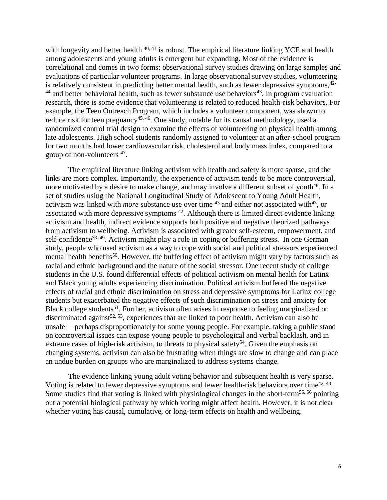with longevity and better health  $40, 41$  is robust. The empirical literature linking YCE and health among adolescents and young adults is emergent but expanding. Most of the evidence is correlational and comes in two forms: observational survey studies drawing on large samples and evaluations of particular volunteer programs. In large observational survey studies, volunteering is relatively consistent in predicting better mental health, such as fewer depressive symptoms, <sup>42-</sup>  $44$  and better behavioral health, such as fewer substance use behaviors<sup>43</sup>. In program evaluation research, there is some evidence that volunteering is related to reduced health-risk behaviors. For example, the Teen Outreach Program, which includes a volunteer component, was shown to reduce risk for teen pregnancy<sup>45, 46</sup>. One study, notable for its causal methodology, used a randomized control trial design to examine the effects of volunteering on physical health among late adolescents. High school students randomly assigned to volunteer at an after-school program for two months had lower cardiovascular risk, cholesterol and body mass index, compared to a group of non-volunteers <sup>47</sup>.

The empirical literature linking activism with health and safety is more sparse, and the links are more complex. Importantly, the experience of activism tends to be more controversial, more motivated by a desire to make change, and may involve a different subset of youth<sup>48</sup>. In a set of studies using the National Longitudinal Study of Adolescent to Young Adult Health, activism was linked with *more* substance use over time <sup>43</sup> and either not associated with<sup>43</sup>, or associated with more depressive symptoms  $42$ . Although there is limited direct evidence linking activism and health, indirect evidence supports both positive and negative theorized pathways from activism to wellbeing. Activism is associated with greater self-esteem, empowerment, and self-confidence<sup>33, 49</sup>. Activism might play a role in coping or buffering stress. In one German study, people who used activism as a way to cope with social and political stressors experienced mental health benefits<sup>50</sup>. However, the buffering effect of activism might vary by factors such as racial and ethnic background and the nature of the social stressor. One recent study of college students in the U.S. found differential effects of political activism on mental health for Latinx and Black young adults experiencing discrimination. Political activism buffered the negative effects of racial and ethnic discrimination on stress and depressive symptoms for Latinx college students but exacerbated the negative effects of such discrimination on stress and anxiety for Black college students<sup>51</sup>. Further, activism often arises in response to feeling marginalized or discriminated against<sup>52, 53</sup>, experiences that are linked to poor health. Activism can also be unsafe— perhaps disproportionately for some young people. For example, taking a public stand on controversial issues can expose young people to psychological and verbal backlash, and in extreme cases of high-risk activism, to threats to physical safety<sup>54</sup>. Given the emphasis on changing systems, activism can also be frustrating when things are slow to change and can place an undue burden on groups who are marginalized to address systems change.

The evidence linking young adult voting behavior and subsequent health is very sparse. Voting is related to fewer depressive symptoms and fewer health-risk behaviors over time<sup>42, 43</sup>. Some studies find that voting is linked with physiological changes in the short-term<sup>55, 56</sup> pointing out a potential biological pathway by which voting might affect health. However, it is not clear whether voting has causal, cumulative, or long-term effects on health and wellbeing.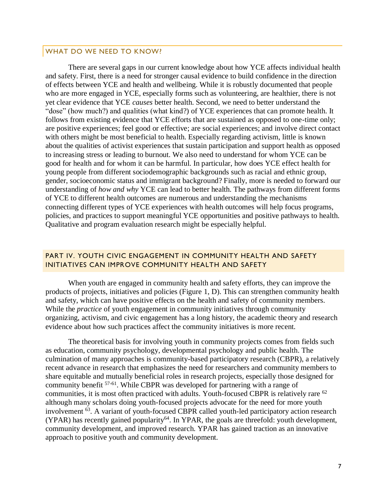#### WHAT DO WE NEED TO KNOW?

There are several gaps in our current knowledge about how YCE affects individual health and safety. First, there is a need for stronger causal evidence to build confidence in the direction of effects between YCE and health and wellbeing. While it is robustly documented that people who are more engaged in YCE, especially forms such as volunteering, are healthier, there is not yet clear evidence that YCE *causes* better health. Second, we need to better understand the "dose" (how much?) and qualities (what kind?) of YCE experiences that can promote health. It follows from existing evidence that YCE efforts that are sustained as opposed to one-time only; are positive experiences; feel good or effective; are social experiences; and involve direct contact with others might be most beneficial to health. Especially regarding activism, little is known about the qualities of activist experiences that sustain participation and support health as opposed to increasing stress or leading to burnout. We also need to understand for whom YCE can be good for health and for whom it can be harmful. In particular, how does YCE effect health for young people from different sociodemographic backgrounds such as racial and ethnic group, gender, socioeconomic status and immigrant background? Finally, more is needed to forward our understanding of *how and why* YCE can lead to better health. The pathways from different forms of YCE to different health outcomes are numerous and understanding the mechanisms connecting different types of YCE experiences with health outcomes will help focus programs, policies, and practices to support meaningful YCE opportunities and positive pathways to health. Qualitative and program evaluation research might be especially helpful.

# PART IV. YOUTH CIVIC ENGAGEMENT IN COMMUNITY HEALTH AND SAFETY INITIATIVES CAN IMPROVE COMMUNITY HEALTH AND SAFETY

When youth are engaged in community health and safety efforts, they can improve the products of projects, initiatives and policies (Figure 1, D). This can strengthen community health and safety, which can have positive effects on the health and safety of community members. While the *practice* of youth engagement in community initiatives through community organizing, activism, and civic engagement has a long history, the academic theory and research evidence about how such practices affect the community initiatives is more recent.

The theoretical basis for involving youth in community projects comes from fields such as education, community psychology, developmental psychology and public health. The culmination of many approaches is community-based participatory research (CBPR), a relatively recent advance in research that emphasizes the need for researchers and community members to share equitable and mutually beneficial roles in research projects, especially those designed for community benefit 57-61 . While CBPR was developed for partnering with a range of communities, it is most often practiced with adults. Youth-focused CBPR is relatively rare <sup>62</sup> although many scholars doing youth-focused projects advocate for the need for more youth involvement <sup>63</sup>. A variant of youth-focused CBPR called youth-led participatory action research  $(YPAR)$  has recently gained popularity<sup>64</sup>. In YPAR, the goals are threefold: youth development, community development, and improved research. YPAR has gained traction as an innovative approach to positive youth and community development.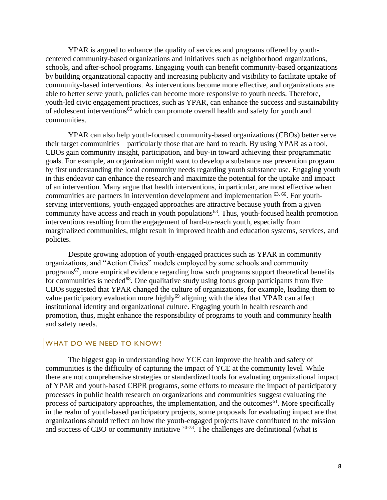YPAR is argued to enhance the quality of services and programs offered by youthcentered community-based organizations and initiatives such as neighborhood organizations, schools, and after-school programs. Engaging youth can benefit community-based organizations by building organizational capacity and increasing publicity and visibility to facilitate uptake of community-based interventions. As interventions become more effective, and organizations are able to better serve youth, policies can become more responsive to youth needs. Therefore, youth-led civic engagement practices, such as YPAR, can enhance the success and sustainability of adolescent interventions<sup>65</sup> which can promote overall health and safety for youth and communities.

YPAR can also help youth-focused community-based organizations (CBOs) better serve their target communities – particularly those that are hard to reach. By using YPAR as a tool, CBOs gain community insight, participation, and buy-in toward achieving their programmatic goals. For example, an organization might want to develop a substance use prevention program by first understanding the local community needs regarding youth substance use. Engaging youth in this endeavor can enhance the research and maximize the potential for the uptake and impact of an intervention. Many argue that health interventions, in particular, are most effective when communities are partners in intervention development and implementation 63, 66. For youthserving interventions, youth-engaged approaches are attractive because youth from a given community have access and reach in youth populations<sup> $63$ </sup>. Thus, youth-focused health promotion interventions resulting from the engagement of hard-to-reach youth, especially from marginalized communities, might result in improved health and education systems, services, and policies.

Despite growing adoption of youth-engaged practices such as YPAR in community organizations, and "Action Civics" models employed by some schools and community programs<sup>67</sup>, more empirical evidence regarding how such programs support theoretical benefits for communities is needed<sup>68</sup>. One qualitative study using focus group participants from five CBOs suggested that YPAR changed the culture of organizations, for example, leading them to value participatory evaluation more highly<sup>69</sup> aligning with the idea that YPAR can affect institutional identity and organizational culture. Engaging youth in health research and promotion, thus, might enhance the responsibility of programs to youth and community health and safety needs.

### WHAT DO WE NEED TO KNOW?

The biggest gap in understanding how YCE can improve the health and safety of communities is the difficulty of capturing the impact of YCE at the community level. While there are not comprehensive strategies or standardized tools for evaluating organizational impact of YPAR and youth-based CBPR programs, some efforts to measure the impact of participatory processes in public health research on organizations and communities suggest evaluating the process of participatory approaches, the implementation, and the outcomes<sup>61</sup>. More specifically in the realm of youth-based participatory projects, some proposals for evaluating impact are that organizations should reflect on how the youth-engaged projects have contributed to the mission and success of CBO or community initiative  $70-73$ . The challenges are definitional (what is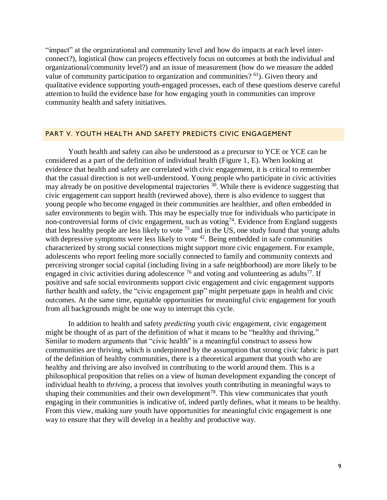"impact" at the organizational and community level and how do impacts at each level interconnect?), logistical (how can projects effectively focus on outcomes at both the individual and organizational/community level?) and an issue of measurement (how do we measure the added value of community participation to organization and communities?  $61$ ). Given theory and qualitative evidence supporting youth-engaged processes, each of these questions deserve careful attention to build the evidence base for how engaging youth in communities can improve community health and safety initiatives.

#### PART V. YOUTH HEALTH AND SAFETY PREDICTS CIVIC ENGAGEMENT

Youth health and safety can also be understood as a precursor to YCE or YCE can be considered as a part of the definition of individual health (Figure 1, E). When looking at evidence that health and safety are correlated with civic engagement, it is critical to remember that the casual direction is not well-understood. Young people who participate in civic activities may already be on positive developmental trajectories <sup>30</sup>. While there is evidence suggesting that civic engagement can support health (reviewed above), there is also evidence to suggest that young people who become engaged in their communities are healthier, and often embedded in safer environments to begin with. This may be especially true for individuals who participate in non-controversial forms of civic engagement, such as voting<sup>74</sup>. Evidence from England suggests that less healthy people are less likely to vote <sup>75</sup> and in the US, one study found that young adults with depressive symptoms were less likely to vote <sup>42</sup>. Being embedded in safe communities characterized by strong social connections might support more civic engagement. For example, adolescents who report feeling more socially connected to family and community contexts and perceiving stronger social capital (including living in a safe neighborhood) are more likely to be engaged in civic activities during adolescence  $^{76}$  and voting and volunteering as adults<sup>77</sup>. If positive and safe social environments support civic engagement and civic engagement supports further health and safety, the "civic engagement gap" might perpetuate gaps in health and civic outcomes. At the same time, equitable opportunities for meaningful civic engagement for youth from all backgrounds might be one way to interrupt this cycle.

In addition to health and safety *predicting* youth civic engagement, civic engagement might be thought of as part of the definition of what it means to be "healthy and thriving." Similar to modern arguments that "civic health" is a meaningful construct to assess how communities are thriving, which is underpinned by the assumption that strong civic fabric is part of the definition of healthy communities, there is a theoretical argument that youth who are healthy and thriving are also involved in contributing to the world around them. This is a philosophical proposition that relies on a view of human development expanding the concept of individual health to *thriving*, a process that involves youth contributing in meaningful ways to shaping their communities and their own development<sup>78</sup>. This view communicates that youth engaging in their communities is indicative of, indeed partly defines, what it means to be healthy. From this view, making sure youth have opportunities for meaningful civic engagement is one way to ensure that they will develop in a healthy and productive way.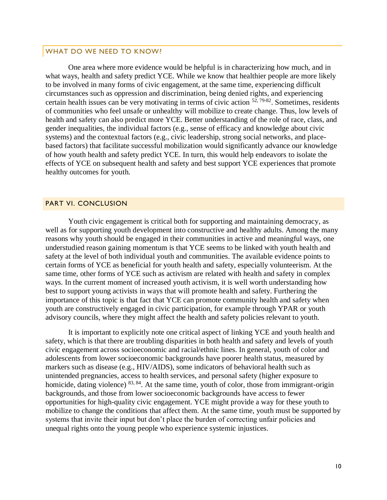#### WHAT DO WE NEED TO KNOW?

One area where more evidence would be helpful is in characterizing how much, and in what ways, health and safety predict YCE. While we know that healthier people are more likely to be involved in many forms of civic engagement, at the same time, experiencing difficult circumstances such as oppression and discrimination, being denied rights, and experiencing certain health issues can be very motivating in terms of civic action  $52, 79-82$ . Sometimes, residents of communities who feel unsafe or unhealthy will mobilize to create change. Thus, low levels of health and safety can also predict more YCE. Better understanding of the role of race, class, and gender inequalities, the individual factors (e.g., sense of efficacy and knowledge about civic systems) and the contextual factors (e.g., civic leadership, strong social networks, and placebased factors) that facilitate successful mobilization would significantly advance our knowledge of how youth health and safety predict YCE. In turn, this would help endeavors to isolate the effects of YCE on subsequent health and safety and best support YCE experiences that promote healthy outcomes for youth.

#### PART VI. CONCLUSION

Youth civic engagement is critical both for supporting and maintaining democracy, as well as for supporting youth development into constructive and healthy adults. Among the many reasons why youth should be engaged in their communities in active and meaningful ways, one understudied reason gaining momentum is that YCE seems to be linked with youth health and safety at the level of both individual youth and communities. The available evidence points to certain forms of YCE as beneficial for youth health and safety, especially volunteerism. At the same time, other forms of YCE such as activism are related with health and safety in complex ways. In the current moment of increased youth activism, it is well worth understanding how best to support young activists in ways that will promote health and safety. Furthering the importance of this topic is that fact that YCE can promote community health and safety when youth are constructively engaged in civic participation, for example through YPAR or youth advisory councils, where they might affect the health and safety policies relevant to youth.

It is important to explicitly note one critical aspect of linking YCE and youth health and safety, which is that there are troubling disparities in both health and safety and levels of youth civic engagement across socioeconomic and racial/ethnic lines. In general, youth of color and adolescents from lower socioeconomic backgrounds have poorer health status, measured by markers such as disease (e.g., HIV/AIDS), some indicators of behavioral health such as unintended pregnancies, access to health services, and personal safety (higher exposure to homicide, dating violence) <sup>83, 84</sup>. At the same time, youth of color, those from immigrant-origin backgrounds, and those from lower socioeconomic backgrounds have access to fewer opportunities for high-quality civic engagement. YCE might provide a way for these youth to mobilize to change the conditions that affect them. At the same time, youth must be supported by systems that invite their input but don't place the burden of correcting unfair policies and unequal rights onto the young people who experience systemic injustices.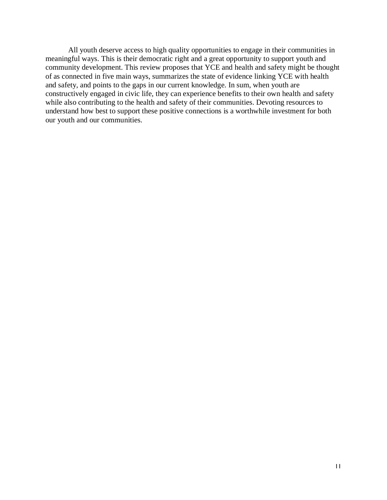All youth deserve access to high quality opportunities to engage in their communities in meaningful ways. This is their democratic right and a great opportunity to support youth and community development. This review proposes that YCE and health and safety might be thought of as connected in five main ways, summarizes the state of evidence linking YCE with health and safety, and points to the gaps in our current knowledge. In sum, when youth are constructively engaged in civic life, they can experience benefits to their own health and safety while also contributing to the health and safety of their communities. Devoting resources to understand how best to support these positive connections is a worthwhile investment for both our youth and our communities.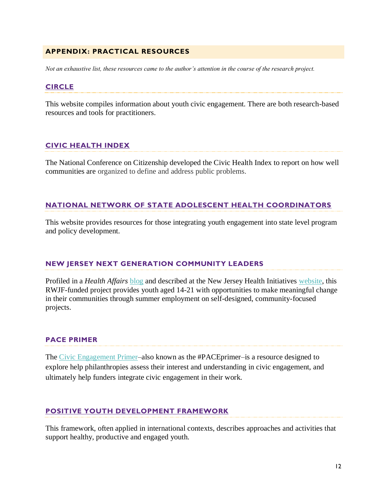# **APPENDIX: PRACTICAL RESOURCES**

*Not an exhaustive list, these resources came to the author's attention in the course of the research project.*

### **[CIRCLE](http://civicyouth.org/)**

This website compiles information about youth civic engagement. There are both research-based resources and tools for practitioners.

#### **[CIVIC HEALTH INDEX](https://ncoc.org/CHI/)**

The National Conference on Citizenship developed the Civic Health Index to report on how well communities are organized to define and address public problems.

# **[NATIONAL NETWORK OF STATE ADOLESCENT HEALTH COORDINATORS](http://nnsahc.org/index.php/tools/youth-engagement)**

This website provides resources for those integrating youth engagement into state level program and policy development.

# **NEW JERSEY NEXT GENERATION COMMUNITY LEADERS**

Profiled in a *Health Affairs* [blog](https://www.healthaffairs.org/do/10.1377/hblog20181205.122162/full/) and described at the New Jersey Health Initiatives [website,](https://www.njhi.org/initiatives/njhi-next-generation-community-leaders/) this RWJF-funded project provides youth aged 14-21 with opportunities to make meaningful change in their communities through summer employment on self-designed, community-focused projects.

# **PACE PRIMER**

The [Civic Engagement Primer–](http://www.pacefunders.org/primer/)also known as the #PACEprimer–is a resource designed to explore help philanthropies assess their interest and understanding in civic engagement, and ultimately help funders integrate civic engagement in their work.

# **[POSITIVE YOUTH DEVELOPMENT FRAMEWORK](https://www.youthpower.org/positive-youth-development-pyd-framework)**

This framework, often applied in international contexts, describes approaches and activities that support healthy, productive and engaged youth.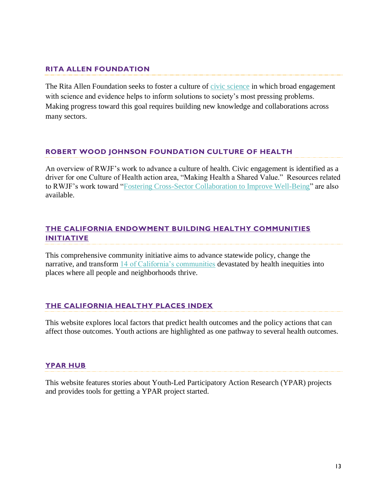# **RITA ALLEN FOUNDATION**

The Rita Allen Foundation seeks to foster a culture of [civic science](http://ritaallen.org/civic-science/) in which broad engagement with science and evidence helps to inform solutions to society's most pressing problems. Making progress toward this goal requires building new knowledge and collaborations across many sectors.

# **[ROBERT WOOD JOHNSON FOUNDATION CULTURE OF HEALTH](https://www.rwjf.org/en/cultureofhealth/about.html)**

An overview of RWJF's work to advance a culture of health. Civic engagement is identified as a driver for one Culture of Health action area, "Making Health a Shared Value." Resources related to RWJF's work toward ["Fostering Cross-Sector Collaboration to Improve Well-Being"](https://www.rwjf.org/en/cultureofhealth/taking-action/fostering-cross-sector-collaboration.html) are also available.

# **[THE CALIFORNIA ENDOWMENT BUILDING HEALTHY COMMUNITIES](https://www.calendow.org/building-healthy-communities/)  [INITIATIVE](https://www.calendow.org/building-healthy-communities/)**

This comprehensive community initiative aims to advance statewide policy, change the narrative, and transform [14 of California's communities](http://www.calendow.org/places) devastated by health inequities into places where all people and neighborhoods thrive.

# **[THE CALIFORNIA HEALTHY PLACES INDEX](https://healthyplacesindex.org/)**

This website explores local factors that predict health outcomes and the policy actions that can affect those outcomes. Youth actions are highlighted as one pathway to several health outcomes.

# **[YPAR HUB](http://yparhub.berkeley.edu/)**

This website features stories about Youth-Led Participatory Action Research (YPAR) projects and provides tools for getting a YPAR project started.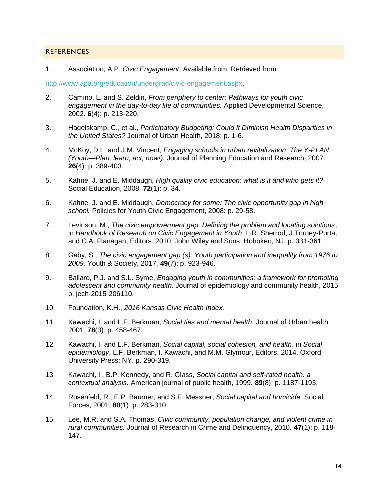#### REFERENCES

1. Association, A.P. *Civic Engagement*. Available from: Retrieved from:

[http://www.apa.org/education/undergrad/civic-engagement.aspx.](http://www.apa.org/education/undergrad/civic-engagement.aspx)

- 2. Camino, L. and S. Zeldin, *From periphery to center: Pathways for youth civic engagement in the day-to-day life of communities.* Applied Developmental Science, 2002. **6**(4): p. 213-220.
- 3. Hagelskamp, C., et al., *Participatory Budgeting: Could It Diminish Health Disparities in the United States?* Journal of Urban Health, 2018: p. 1-6.
- 4. McKoy, D.L. and J.M. Vincent, *Engaging schools in urban revitalization: The Y-PLAN (Youth—Plan, learn, act, now!).* Journal of Planning Education and Research, 2007. **26**(4): p. 389-403.
- 5. Kahne, J. and E. Middaugh, *High quality civic education: what is it and who gets it?* Social Education, 2008. **72**(1): p. 34.
- 6. Kahne, J. and E. Middaugh, *Democracy for some: The civic opportunity gap in high school.* Policies for Youth Civic Engagement, 2008: p. 29-58.
- 7. Levinson, M., *The civic empowerment gap: Defining the problem and locating solutions*, in *Handbook of Research on Civic Engagement in Youth*, L.R. Sherrod, J.Torney-Purta, and C.A. Flanagan, Editors. 2010, John Wiley and Sons: Hoboken, NJ. p. 331-361.
- 8. Gaby, S., *The civic engagement gap (s): Youth participation and inequality from 1976 to 2009.* Youth & Society, 2017. **49**(7): p. 923-946.
- 9. Ballard, P.J. and S.L. Syme, *Engaging youth in communities: a framework for promoting adolescent and community health.* Journal of epidemiology and community health, 2015: p. jech-2015-206110.
- 10. Foundation, K.H., *2016 Kansas Civic Health Index*.
- 11. Kawachi, I. and L.F. Berkman, *Social ties and mental health.* Journal of Urban health, 2001. **78**(3): p. 458-467.
- 12. Kawachi, I. and L.F. Berkman, *Social capital, social cohesion, and health*, in *Social epidemiology*, L.F. Berkman, I. Kawachi, and M.M. Glymour, Editors. 2014, Oxford University Press: NY. p. 290-319.
- 13. Kawachi, I., B.P. Kennedy, and R. Glass, *Social capital and self-rated health: a contextual analysis.* American journal of public health, 1999. **89**(8): p. 1187-1193.
- 14. Rosenfeld, R., E.P. Baumer, and S.F. Messner, *Social capital and homicide.* Social Forces, 2001. **80**(1): p. 283-310.
- 15. Lee, M.R. and S.A. Thomas, *Civic community, population change, and violent crime in rural communities.* Journal of Research in Crime and Delinquency, 2010. **47**(1): p. 118- 147.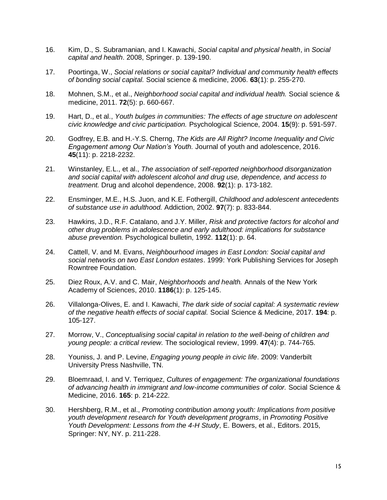- 16. Kim, D., S. Subramanian, and I. Kawachi, *Social capital and physical health*, in *Social capital and health*. 2008, Springer. p. 139-190.
- 17. Poortinga, W., *Social relations or social capital? Individual and community health effects of bonding social capital.* Social science & medicine, 2006. **63**(1): p. 255-270.
- 18. Mohnen, S.M., et al., *Neighborhood social capital and individual health.* Social science & medicine, 2011. **72**(5): p. 660-667.
- 19. Hart, D., et al., *Youth bulges in communities: The effects of age structure on adolescent civic knowledge and civic participation.* Psychological Science, 2004. **15**(9): p. 591-597.
- 20. Godfrey, E.B. and H.-Y.S. Cherng, *The Kids are All Right? Income Inequality and Civic Engagement among Our Nation's Youth.* Journal of youth and adolescence, 2016. **45**(11): p. 2218-2232.
- 21. Winstanley, E.L., et al., *The association of self-reported neighborhood disorganization and social capital with adolescent alcohol and drug use, dependence, and access to treatment.* Drug and alcohol dependence, 2008. **92**(1): p. 173-182.
- 22. Ensminger, M.E., H.S. Juon, and K.E. Fothergill, *Childhood and adolescent antecedents of substance use in adulthood.* Addiction, 2002. **97**(7): p. 833-844.
- 23. Hawkins, J.D., R.F. Catalano, and J.Y. Miller, *Risk and protective factors for alcohol and other drug problems in adolescence and early adulthood: implications for substance abuse prevention.* Psychological bulletin, 1992. **112**(1): p. 64.
- 24. Cattell, V. and M. Evans, *Neighbourhood images in East London: Social capital and social networks on two East London estates*. 1999: York Publishing Services for Joseph Rowntree Foundation.
- 25. Diez Roux, A.V. and C. Mair, *Neighborhoods and health.* Annals of the New York Academy of Sciences, 2010. **1186**(1): p. 125-145.
- 26. Villalonga-Olives, E. and I. Kawachi, *The dark side of social capital: A systematic review of the negative health effects of social capital.* Social Science & Medicine, 2017. **194**: p. 105-127.
- 27. Morrow, V., *Conceptualising social capital in relation to the well-being of children and young people: a critical review.* The sociological review, 1999. **47**(4): p. 744-765.
- 28. Youniss, J. and P. Levine, *Engaging young people in civic life*. 2009: Vanderbilt University Press Nashville, TN.
- 29. Bloemraad, I. and V. Terriquez, *Cultures of engagement: The organizational foundations of advancing health in immigrant and low-income communities of color.* Social Science & Medicine, 2016. **165**: p. 214-222.
- 30. Hershberg, R.M., et al., *Promoting contribution among youth: Implications from positive youth development research for Youth development programs*, in *Promoting Positive Youth Development: Lessons from the 4-H Study*, E. Bowers, et al., Editors. 2015, Springer: NY, NY. p. 211-228.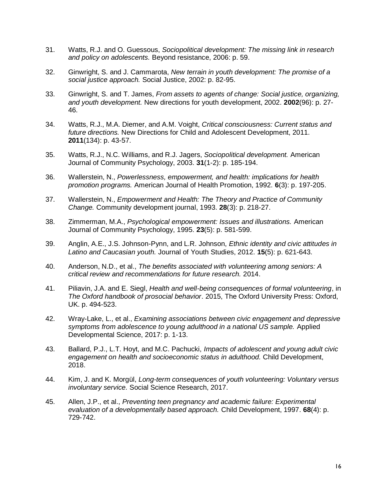- 31. Watts, R.J. and O. Guessous, *Sociopolitical development: The missing link in research and policy on adolescents.* Beyond resistance, 2006: p. 59.
- 32. Ginwright, S. and J. Cammarota, *New terrain in youth development: The promise of a social justice approach.* Social Justice, 2002: p. 82-95.
- 33. Ginwright, S. and T. James, *From assets to agents of change: Social justice, organizing, and youth development.* New directions for youth development, 2002. **2002**(96): p. 27- 46.
- 34. Watts, R.J., M.A. Diemer, and A.M. Voight, *Critical consciousness: Current status and future directions.* New Directions for Child and Adolescent Development, 2011. **2011**(134): p. 43-57.
- 35. Watts, R.J., N.C. Williams, and R.J. Jagers, *Sociopolitical development.* American Journal of Community Psychology, 2003. **31**(1-2): p. 185-194.
- 36. Wallerstein, N., *Powerlessness, empowerment, and health: implications for health promotion programs.* American Journal of Health Promotion, 1992. **6**(3): p. 197-205.
- 37. Wallerstein, N., *Empowerment and Health: The Theory and Practice of Community Change.* Community development journal, 1993. **28**(3): p. 218-27.
- 38. Zimmerman, M.A., *Psychological empowerment: Issues and illustrations.* American Journal of Community Psychology, 1995. **23**(5): p. 581-599.
- 39. Anglin, A.E., J.S. Johnson-Pynn, and L.R. Johnson, *Ethnic identity and civic attitudes in Latino and Caucasian youth.* Journal of Youth Studies, 2012. **15**(5): p. 621-643.
- 40. Anderson, N.D., et al., *The benefits associated with volunteering among seniors: A critical review and recommendations for future research.* 2014.
- 41. Piliavin, J.A. and E. Siegl, *Health and well-being consequences of formal volunteering*, in *The Oxford handbook of prosocial behavior*. 2015, The Oxford University Press: Oxford, UK. p. 494-523.
- 42. Wray-Lake, L., et al., *Examining associations between civic engagement and depressive symptoms from adolescence to young adulthood in a national US sample.* Applied Developmental Science, 2017: p. 1-13.
- 43. Ballard, P.J., L.T. Hoyt, and M.C. Pachucki, *Impacts of adolescent and young adult civic engagement on health and socioeconomic status in adulthood.* Child Development, 2018.
- 44. Kim, J. and K. Morgül, *Long-term consequences of youth volunteering: Voluntary versus involuntary service.* Social Science Research, 2017.
- 45. Allen, J.P., et al., *Preventing teen pregnancy and academic failure: Experimental evaluation of a developmentally based approach.* Child Development, 1997. **68**(4): p. 729-742.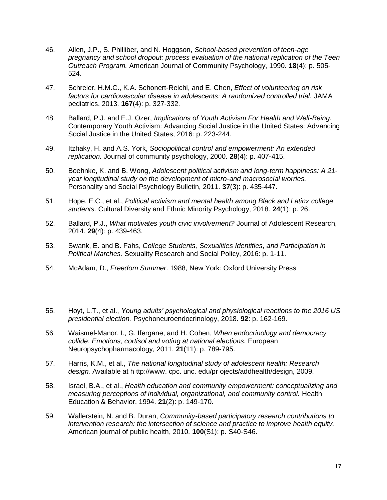- 46. Allen, J.P., S. Philliber, and N. Hoggson, *School-based prevention of teen-age pregnancy and school dropout: process evaluation of the national replication of the Teen Outreach Program.* American Journal of Community Psychology, 1990. **18**(4): p. 505- 524.
- 47. Schreier, H.M.C., K.A. Schonert-Reichl, and E. Chen, *Effect of volunteering on risk factors for cardiovascular disease in adolescents: A randomized controlled trial.* JAMA pediatrics, 2013. **167**(4): p. 327-332.
- 48. Ballard, P.J. and E.J. Ozer, *Implications of Youth Activism For Health and Well-Being.* Contemporary Youth Activism: Advancing Social Justice in the United States: Advancing Social Justice in the United States, 2016: p. 223-244.
- 49. Itzhaky, H. and A.S. York, *Sociopolitical control and empowerment: An extended replication.* Journal of community psychology, 2000. **28**(4): p. 407-415.
- 50. Boehnke, K. and B. Wong, *Adolescent political activism and long-term happiness: A 21 year longitudinal study on the development of micro-and macrosocial worries.* Personality and Social Psychology Bulletin, 2011. **37**(3): p. 435-447.
- 51. Hope, E.C., et al., *Political activism and mental health among Black and Latinx college students.* Cultural Diversity and Ethnic Minority Psychology, 2018. **24**(1): p. 26.
- 52. Ballard, P.J., *What motivates youth civic involvement?* Journal of Adolescent Research, 2014. **29**(4): p. 439-463.
- 53. Swank, E. and B. Fahs, *College Students, Sexualities Identities, and Participation in Political Marches.* Sexuality Research and Social Policy, 2016: p. 1-11.
- 54. McAdam, D., *Freedom Summer*. 1988, New York: Oxford University Press
- 55. Hoyt, L.T., et al., *Young adults' psychological and physiological reactions to the 2016 US presidential election.* Psychoneuroendocrinology, 2018. **92**: p. 162-169.
- 56. Waismel-Manor, I., G. Ifergane, and H. Cohen, *When endocrinology and democracy collide: Emotions, cortisol and voting at national elections.* European Neuropsychopharmacology, 2011. **21**(11): p. 789-795.
- 57. Harris, K.M., et al., *The national longitudinal study of adolescent health: Research design.* Available at h ttp://www. cpc. unc. edu/pr ojects/addhealth/design, 2009.
- 58. Israel, B.A., et al., *Health education and community empowerment: conceptualizing and measuring perceptions of individual, organizational, and community control.* Health Education & Behavior, 1994. **21**(2): p. 149-170.
- 59. Wallerstein, N. and B. Duran, *Community-based participatory research contributions to intervention research: the intersection of science and practice to improve health equity.* American journal of public health, 2010. **100**(S1): p. S40-S46.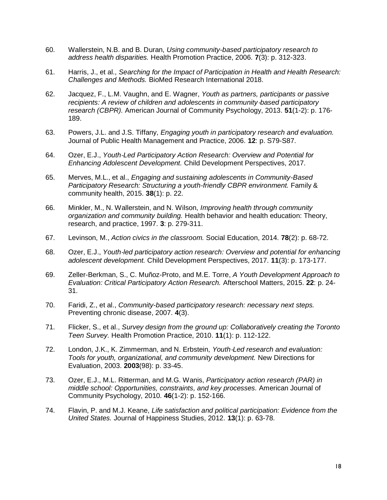- 60. Wallerstein, N.B. and B. Duran, *Using community-based participatory research to address health disparities.* Health Promotion Practice, 2006. **7**(3): p. 312-323.
- 61. Harris, J., et al., *Searching for the Impact of Participation in Health and Health Research: Challenges and Methods.* BioMed Research International 2018.
- 62. Jacquez, F., L.M. Vaughn, and E. Wagner, *Youth as partners, participants or passive recipients: A review of children and adolescents in community*‐*based participatory research (CBPR).* American Journal of Community Psychology, 2013. **51**(1-2): p. 176- 189.
- 63. Powers, J.L. and J.S. Tiffany, *Engaging youth in participatory research and evaluation.* Journal of Public Health Management and Practice, 2006. **12**: p. S79-S87.
- 64. Ozer, E.J., *Youth*‐*Led Participatory Action Research: Overview and Potential for Enhancing Adolescent Development.* Child Development Perspectives, 2017.
- 65. Merves, M.L., et al., *Engaging and sustaining adolescents in Community-Based Participatory Research: Structuring a youth-friendly CBPR environment.* Family & community health, 2015. **38**(1): p. 22.
- 66. Minkler, M., N. Wallerstein, and N. Wilson, *Improving health through community organization and community building.* Health behavior and health education: Theory, research, and practice, 1997. **3**: p. 279-311.
- 67. Levinson, M., *Action civics in the classroom.* Social Education, 2014. **78**(2): p. 68-72.
- 68. Ozer, E.J., *Youth*‐*led participatory action research: Overview and potential for enhancing adolescent development.* Child Development Perspectives, 2017. **11**(3): p. 173-177.
- 69. Zeller-Berkman, S., C. Muñoz-Proto, and M.E. Torre, *A Youth Development Approach to Evaluation: Critical Participatory Action Research.* Afterschool Matters, 2015. **22**: p. 24- 31.
- 70. Faridi, Z., et al., *Community-based participatory research: necessary next steps.* Preventing chronic disease, 2007. **4**(3).
- 71. Flicker, S., et al., *Survey design from the ground up: Collaboratively creating the Toronto Teen Survey.* Health Promotion Practice, 2010. **11**(1): p. 112-122.
- 72. London, J.K., K. Zimmerman, and N. Erbstein, *Youth*‐*Led research and evaluation: Tools for youth, organizational, and community development.* New Directions for Evaluation, 2003. **2003**(98): p. 33-45.
- 73. Ozer, E.J., M.L. Ritterman, and M.G. Wanis, *Participatory action research (PAR) in middle school: Opportunities, constraints, and key processes.* American Journal of Community Psychology, 2010. **46**(1-2): p. 152-166.
- 74. Flavin, P. and M.J. Keane, *Life satisfaction and political participation: Evidence from the United States.* Journal of Happiness Studies, 2012. **13**(1): p. 63-78.